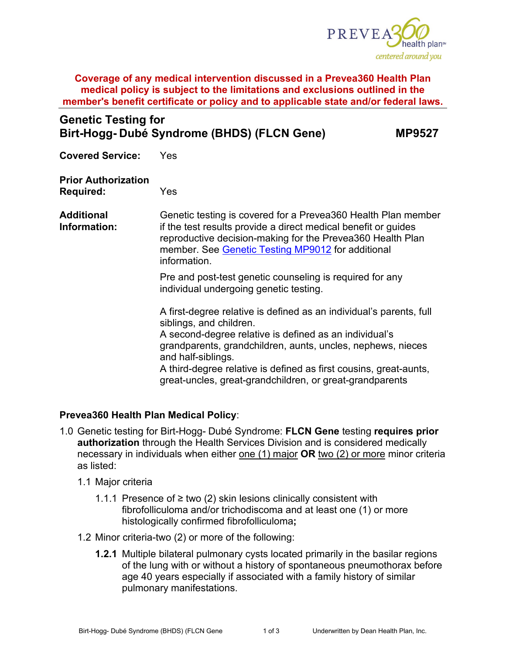

**Coverage of any medical intervention discussed in a Prevea360 Health Plan medical policy is subject to the limitations and exclusions outlined in the member's benefit certificate or policy and to applicable state and/or federal laws.**

## **Genetic Testing for Birt-Hogg- Dubé Syndrome (BHDS) (FLCN Gene) MP9527**

**Covered Service:** Yes

**Prior Authorization Required:** Yes

**Additional Information:** Genetic testing is covered for a Prevea360 Health Plan member if the test results provide a direct medical benefit or guides reproductive decision-making for the Prevea360 Health Plan member. See [Genetic Testing MP9012](https://www.prevea360.com/DocumentLibrary/PDF/Medical-Policies/Genetic-Testing-9012) for additional information.

> Pre and post-test genetic counseling is required for any individual undergoing genetic testing.

A first-degree relative is defined as an individual's parents, full siblings, and children.

A second-degree relative is defined as an individual's grandparents, grandchildren, aunts, uncles, nephews, nieces and half-siblings.

A third-degree relative is defined as first cousins, great-aunts, great-uncles, great-grandchildren, or great-grandparents

## **Prevea360 Health Plan Medical Policy**:

- 1.0 Genetic testing for Birt-Hogg- Dubé Syndrome: **FLCN Gene** testing **requires prior authorization** through the Health Services Division and is considered medically necessary in individuals when either one (1) major **OR** two (2) or more minor criteria as listed:
	- 1.1 Major criteria
		- 1.1.1 Presence of ≥ two (2) skin lesions clinically consistent with fibrofolliculoma and/or trichodiscoma and at least one (1) or more histologically confirmed fibrofolliculoma**;**
	- 1.2 Minor criteria-two (2) or more of the following:
		- **1.2.1** Multiple bilateral pulmonary cysts located primarily in the basilar regions of the lung with or without a history of spontaneous pneumothorax before age 40 years especially if associated with a family history of similar pulmonary manifestations.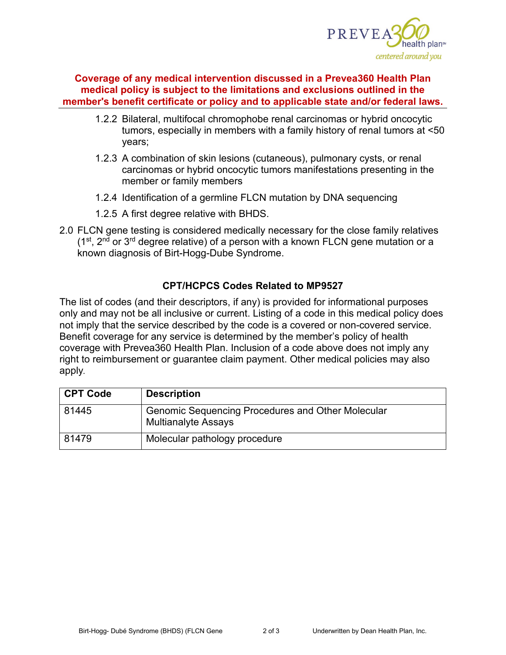

**Coverage of any medical intervention discussed in a Prevea360 Health Plan medical policy is subject to the limitations and exclusions outlined in the member's benefit certificate or policy and to applicable state and/or federal laws.**

- 1.2.2 Bilateral, multifocal chromophobe renal carcinomas or hybrid oncocytic tumors, especially in members with a family history of renal tumors at <50 years;
- 1.2.3 A combination of skin lesions (cutaneous), pulmonary cysts, or renal carcinomas or hybrid oncocytic tumors manifestations presenting in the member or family members
- 1.2.4 Identification of a germline FLCN mutation by DNA sequencing
- 1.2.5 A first degree relative with BHDS.
- 2.0 FLCN gene testing is considered medically necessary for the close family relatives  $(1^{st}, 2^{nd}$  or  $3^{rd}$  degree relative) of a person with a known FLCN gene mutation or a known diagnosis of Birt-Hogg-Dube Syndrome.

## **CPT/HCPCS Codes Related to MP9527**

The list of codes (and their descriptors, if any) is provided for informational purposes only and may not be all inclusive or current. Listing of a code in this medical policy does not imply that the service described by the code is a covered or non-covered service. Benefit coverage for any service is determined by the member's policy of health coverage with Prevea360 Health Plan. Inclusion of a code above does not imply any right to reimbursement or guarantee claim payment. Other medical policies may also apply*.*

| <b>CPT Code</b> | <b>Description</b>                                                                     |
|-----------------|----------------------------------------------------------------------------------------|
| 81445           | <b>Genomic Sequencing Procedures and Other Molecular</b><br><b>Multianalyte Assays</b> |
| 81479           | Molecular pathology procedure                                                          |